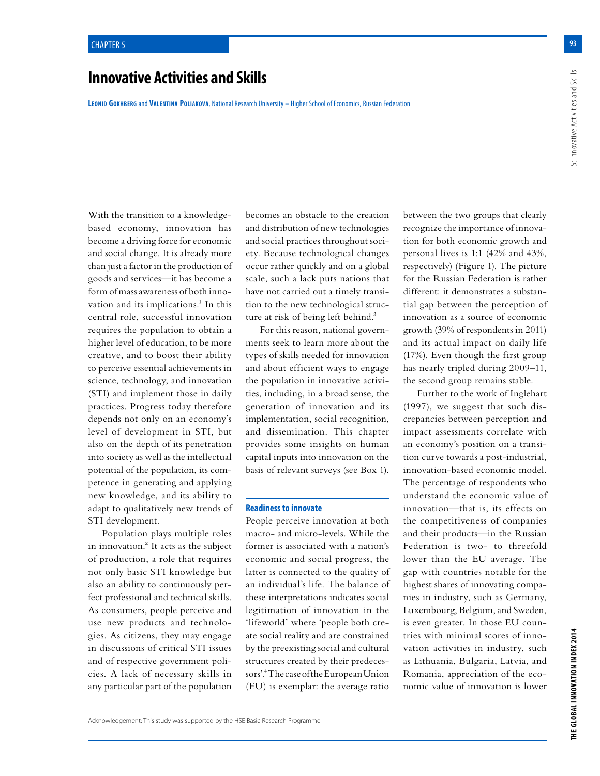# **Innovative Activities and Skills**

**Leonid Gokhberg** and **Valentina Poliakova**, National Research University – Higher School of Economics, Russian Federation

With the transition to a knowledgebased economy, innovation has become a driving force for economic and social change. It is already more than just a factor in the production of goods and services—it has become a form of mass awareness of both innovation and its implications.<sup>1</sup> In this central role, successful innovation requires the population to obtain a higher level of education, to be more creative, and to boost their ability to perceive essential achievements in science, technology, and innovation (STI) and implement those in daily practices. Progress today therefore depends not only on an economy's level of development in STI, but also on the depth of its penetration into society as well as the intellectual potential of the population, its competence in generating and applying new knowledge, and its ability to adapt to qualitatively new trends of STI development.

Population plays multiple roles in innovation.<sup>2</sup> It acts as the subject of production, a role that requires not only basic STI knowledge but also an ability to continuously perfect professional and technical skills. As consumers, people perceive and use new products and technologies. As citizens, they may engage in discussions of critical STI issues and of respective government policies. A lack of necessary skills in any particular part of the population becomes an obstacle to the creation and distribution of new technologies and social practices throughout society. Because technological changes occur rather quickly and on a global scale, such a lack puts nations that have not carried out a timely transition to the new technological structure at risk of being left behind.<sup>3</sup>

For this reason, national governments seek to learn more about the types of skills needed for innovation and about efficient ways to engage the population in innovative activities, including, in a broad sense, the generation of innovation and its implementation, social recognition, and dissemination. This chapter provides some insights on human capital inputs into innovation on the basis of relevant surveys (see Box 1).

## **Readiness to innovate**

People perceive innovation at both macro- and micro-levels. While the former is associated with a nation's economic and social progress, the latter is connected to the quality of an individual's life. The balance of these interpretations indicates social legitimation of innovation in the 'lifeworld' where 'people both create social reality and are constrained by the preexisting social and cultural structures created by their predecessors'.4 The case of the European Union (EU) is exemplar: the average ratio

between the two groups that clearly recognize the importance of innovation for both economic growth and personal lives is 1:1 (42% and 43%, respectively) (Figure 1). The picture for the Russian Federation is rather different: it demonstrates a substantial gap between the perception of innovation as a source of economic growth (39% of respondents in 2011) and its actual impact on daily life (17%). Even though the first group has nearly tripled during 2009–11, the second group remains stable.

Further to the work of Inglehart (1997), we suggest that such discrepancies between perception and impact assessments correlate with an economy's position on a transition curve towards a post-industrial, innovation-based economic model. The percentage of respondents who understand the economic value of innovation—that is, its effects on the competitiveness of companies and their products—in the Russian Federation is two- to threefold lower than the EU average. The gap with countries notable for the highest shares of innovating companies in industry, such as Germany, Luxembourg, Belgium, and Sweden, is even greater. In those EU countries with minimal scores of innovation activities in industry, such as Lithuania, Bulgaria, Latvia, and Romania, appreciation of the economic value of innovation is lower

**93**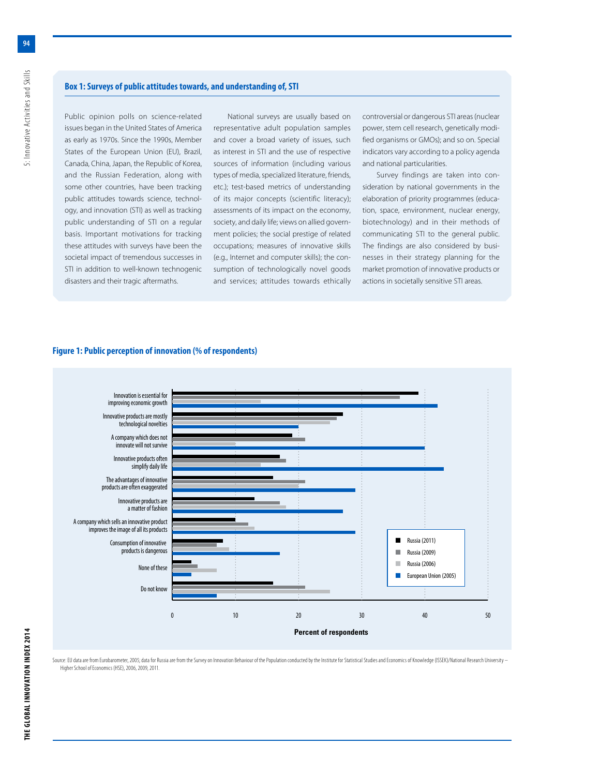# **Box 1: Surveys of public attitudes towards, and understanding of, STI**

Public opinion polls on science-related issues began in the United States of America as early as 1970s. Since the 1990s, Member States of the European Union (EU), Brazil, Canada, China, Japan, the Republic of Korea, and the Russian Federation, along with some other countries, have been tracking public attitudes towards science, technology, and innovation (STI) as well as tracking public understanding of STI on a regular basis. Important motivations for tracking these attitudes with surveys have been the societal impact of tremendous successes in STI in addition to well-known technogenic disasters and their tragic aftermaths.

National surveys are usually based on representative adult population samples and cover a broad variety of issues, such as interest in STI and the use of respective sources of information (including various types of media, specialized literature, friends, etc.); test-based metrics of understanding of its major concepts (scientific literacy); assessments of its impact on the economy, society, and daily life; views on allied government policies; the social prestige of related occupations; measures of innovative skills (e.g., Internet and computer skills); the consumption of technologically novel goods and services; attitudes towards ethically controversial or dangerous STI areas (nuclear power, stem cell research, genetically modified organisms or GMOs); and so on. Special indicators vary according to a policy agenda and national particularities.

Survey findings are taken into consideration by national governments in the elaboration of priority programmes (education, space, environment, nuclear energy, biotechnology) and in their methods of communicating STI to the general public. The findings are also considered by businesses in their strategy planning for the market promotion of innovative products or actions in societally sensitive STI areas.

# **Figure 1: Public perception of innovation (% of respondents)**



Source: EU data are from Eurobarometer, 2005; data for Russia are from the Survey on Innovation Behaviour of the Population conducted by the Institute for Statistical Studies and Economics of Knowledge (ISSEK)/National Res Higher School of Economics (HSE), 2006, 2009, 2011.

**94**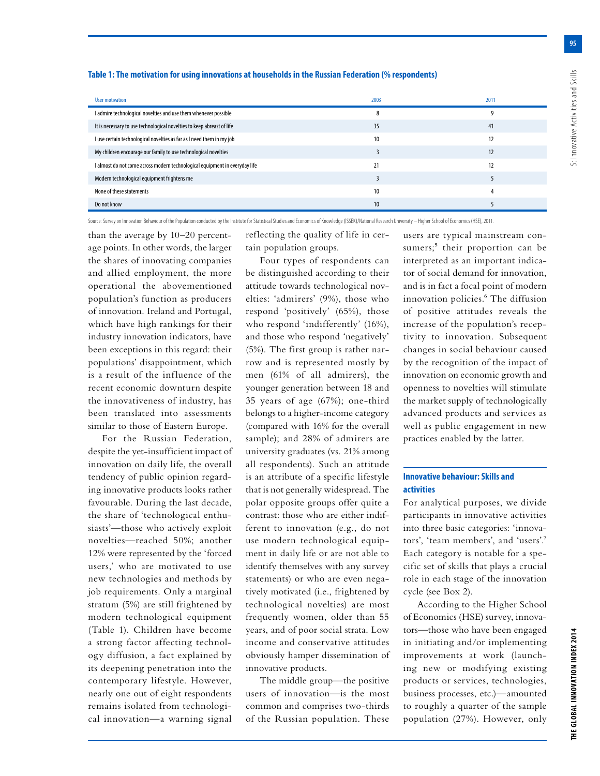**95**

## **Table 1: The motivation for using innovations at households in the Russian Federation (% respondents)**

| User motivation                                                             | 2003            | 2011 |
|-----------------------------------------------------------------------------|-----------------|------|
| I admire technological novelties and use them whenever possible             | 8               |      |
| It is necessary to use technological novelties to keep abreast of life      | 35              | 41   |
| I use certain technological novelties as far as I need them in my job       | 10              | 12   |
| My children encourage our family to use technological novelties             |                 | 12   |
| I almost do not come across modern technological equipment in everyday life | 21              | 12   |
| Modern technological equipment frightens me                                 |                 |      |
| None of these statements                                                    | 10              |      |
| Do not know                                                                 | 10 <sup>°</sup> |      |

Source: Survey on Innovation Behaviour of the Population conducted by the Institute for Statistical Studies and Economics of Knowledge (ISSEK)/National Research University – Higher School of Economics (HSE), 2011.

than the average by 10–20 percentage points. In other words, the larger the shares of innovating companies and allied employment, the more operational the abovementioned population's function as producers of innovation. Ireland and Portugal, which have high rankings for their industry innovation indicators, have been exceptions in this regard: their populations' disappointment, which is a result of the influence of the recent economic downturn despite the innovativeness of industry, has been translated into assessments similar to those of Eastern Europe.

For the Russian Federation, despite the yet-insufficient impact of innovation on daily life, the overall tendency of public opinion regarding innovative products looks rather favourable. During the last decade, the share of 'technological enthusiasts'—those who actively exploit novelties—reached 50%; another 12% were represented by the 'forced users,' who are motivated to use new technologies and methods by job requirements. Only a marginal stratum (5%) are still frightened by modern technological equipment (Table 1). Children have become a strong factor affecting technology diffusion, a fact explained by its deepening penetration into the contemporary lifestyle. However, nearly one out of eight respondents remains isolated from technological innovation—a warning signal reflecting the quality of life in certain population groups.

Four types of respondents can be distinguished according to their attitude towards technological novelties: 'admirers' (9%), those who respond 'positively' (65%), those who respond 'indifferently' (16%), and those who respond 'negatively' (5%). The first group is rather narrow and is represented mostly by men (61% of all admirers), the younger generation between 18 and 35 years of age (67%); one-third belongs to a higher-income category (compared with 16% for the overall sample); and 28% of admirers are university graduates (vs. 21% among all respondents). Such an attitude is an attribute of a specific lifestyle that is not generally widespread. The polar opposite groups offer quite a contrast: those who are either indifferent to innovation (e.g., do not use modern technological equipment in daily life or are not able to identify themselves with any survey statements) or who are even negatively motivated (i.e., frightened by technological novelties) are most frequently women, older than 55 years, and of poor social strata. Low income and conservative attitudes obviously hamper dissemination of innovative products.

The middle group—the positive users of innovation—is the most common and comprises two-thirds of the Russian population. These users are typical mainstream consumers;<sup>5</sup> their proportion can be interpreted as an important indicator of social demand for innovation, and is in fact a focal point of modern innovation policies.<sup>6</sup> The diffusion of positive attitudes reveals the increase of the population's receptivity to innovation. Subsequent changes in social behaviour caused by the recognition of the impact of innovation on economic growth and openness to novelties will stimulate the market supply of technologically advanced products and services as well as public engagement in new practices enabled by the latter.

# **Innovative behaviour: Skills and activities**

For analytical purposes, we divide participants in innovative activities into three basic categories: 'innovators', 'team members', and 'users'.7 Each category is notable for a specific set of skills that plays a crucial role in each stage of the innovation cycle (see Box 2).

According to the Higher School of Economics (HSE) survey, innovators—those who have been engaged in initiating and/or implementing improvements at work (launching new or modifying existing products or services, technologies, business processes, etc.)—amounted to roughly a quarter of the sample population (27%). However, only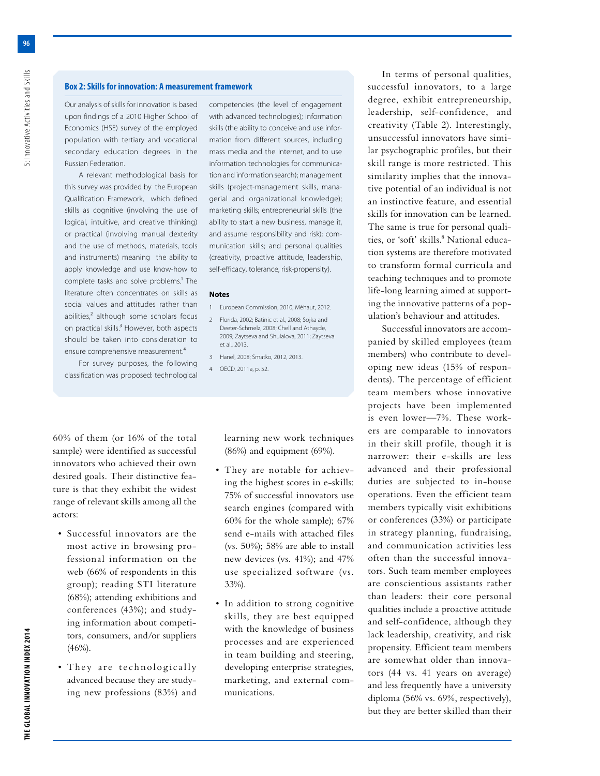Our analysis of skills for innovation is based upon findings of a 2010 Higher School of Economics (HSE) survey of the employed population with tertiary and vocational secondary education degrees in the Russian Federation.

A relevant methodological basis for this survey was provided by the European Qualification Framework, which defined skills as cognitive (involving the use of logical, intuitive, and creative thinking) or practical (involving manual dexterity and the use of methods, materials, tools and instruments) meaning the ability to apply knowledge and use know-how to complete tasks and solve problems.<sup>1</sup> The literature often concentrates on skills as social values and attitudes rather than abilities, $<sup>2</sup>$  although some scholars focus</sup> on practical skills.<sup>3</sup> However, both aspects should be taken into consideration to ensure comprehensive measurement.4

For survey purposes, the following classification was proposed: technological

60% of them (or 16% of the total sample) were identified as successful innovators who achieved their own desired goals. Their distinctive feature is that they exhibit the widest range of relevant skills among all the actors:

- Successful innovators are the most active in browsing professional information on the web (66% of respondents in this group); reading STI literature (68%); attending exhibitions and conferences (43%); and studying information about competitors, consumers, and/or suppliers  $(46\%)$ .
- They are technologically advanced because they are studying new professions (83%) and

competencies (the level of engagement with advanced technologies); information skills (the ability to conceive and use information from different sources, including mass media and the Internet, and to use information technologies for communication and information search); management skills (project-management skills, managerial and organizational knowledge); marketing skills; entrepreneurial skills (the ability to start a new business, manage it, and assume responsibility and risk); communication skills; and personal qualities (creativity, proactive attitude, leadership, self-efficacy, tolerance, risk-propensity).

#### **Notes**

- 1 European Commission, 2010; Méhaut, 2012.
- 2 Florida, 2002; Batinic et al., 2008; Sojka and Deeter-Schmelz, 2008; Chell and Athayde, 2009; Zaytseva and Shulalova, 2011; Zaytseva et al., 2013.
- 3 Hanel, 2008; Smatko, 2012, 2013. 4 OECD, 2011a, p. 52.

learning new work techniques (86%) and equipment (69%).

- They are notable for achieving the highest scores in e-skills: 75% of successful innovators use search engines (compared with 60% for the whole sample); 67% send e-mails with attached files (vs. 50%); 58% are able to install new devices (vs. 41%); and 47% use specialized software (vs. 33%).
- In addition to strong cognitive skills, they are best equipped with the knowledge of business processes and are experienced in team building and steering, developing enterprise strategies, marketing, and external communications.

In terms of personal qualities, successful innovators, to a large degree, exhibit entrepreneurship, leadership, self-confidence, and creativity (Table 2). Interestingly, unsuccessful innovators have similar psychographic profiles, but their skill range is more restricted. This similarity implies that the innovative potential of an individual is not an instinctive feature, and essential skills for innovation can be learned. The same is true for personal qualities, or 'soft' skills.<sup>8</sup> National education systems are therefore motivated to transform formal curricula and teaching techniques and to promote life-long learning aimed at supporting the innovative patterns of a population's behaviour and attitudes.

Successful innovators are accompanied by skilled employees (team members) who contribute to developing new ideas (15% of respondents). The percentage of efficient team members whose innovative projects have been implemented is even lower—7%. These workers are comparable to innovators in their skill profile, though it is narrower: their e-skills are less advanced and their professional duties are subjected to in-house operations. Even the efficient team members typically visit exhibitions or conferences (33%) or participate in strategy planning, fundraising, and communication activities less often than the successful innovators. Such team member employees are conscientious assistants rather than leaders: their core personal qualities include a proactive attitude and self-confidence, although they lack leadership, creativity, and risk propensity. Efficient team members are somewhat older than innovators (44 vs. 41 years on average) and less frequently have a university diploma (56% vs. 69%, respectively), but they are better skilled than their

5: Innovative Activities and Skills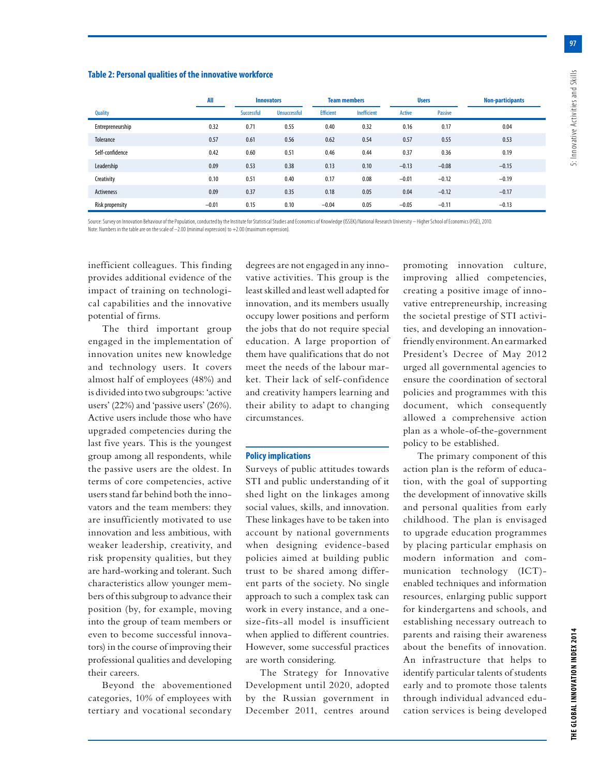**97**

#### **Table 2: Personal qualities of the innovative workforce**

|                   | All     | <b>Innovators</b> |                     | <b>Team members</b> |             | <b>Users</b> |         | <b>Non-participants</b> |
|-------------------|---------|-------------------|---------------------|---------------------|-------------|--------------|---------|-------------------------|
| <b>Quality</b>    |         | Successful        | <b>Unsuccessful</b> | <b>Efficient</b>    | Inefficient | Active       | Passive |                         |
| Entrepreneurship  | 0.32    | 0.71              | 0.55                | 0.40                | 0.32        | 0.16         | 0.17    | 0.04                    |
| Tolerance         | 0.57    | 0.61              | 0.56                | 0.62                | 0.54        | 0.57         | 0.55    | 0.53                    |
| Self-confidence   | 0.42    | 0.60              | 0.51                | 0.46                | 0.44        | 0.37         | 0.36    | 0.19                    |
| Leadership        | 0.09    | 0.53              | 0.38                | 0.13                | 0.10        | $-0.13$      | $-0.08$ | $-0.15$                 |
| Creativity        | 0.10    | 0.51              | 0.40                | 0.17                | 0.08        | $-0.01$      | $-0.12$ | $-0.19$                 |
| <b>Activeness</b> | 0.09    | 0.37              | 0.35                | 0.18                | 0.05        | 0.04         | $-0.12$ | $-0.17$                 |
| Risk propensity   | $-0.01$ | 0.15              | 0.10                | $-0.04$             | 0.05        | $-0.05$      | $-0.11$ | $-0.13$                 |

Source: Survey on Innovation Behaviour of the Population, conducted by the Institute for Statistical Studies and Economics of Knowledge (ISSEX)/National Research University – Higher School of Economics (HSE), 2010. Note: Numbers in the table are on the scale of –2.00 (minimal expression) to +2.00 (maximum expression).

inefficient colleagues. This finding provides additional evidence of the impact of training on technological capabilities and the innovative potential of firms.

The third important group engaged in the implementation of innovation unites new knowledge and technology users. It covers almost half of employees (48%) and is divided into two subgroups: 'active users' (22%) and 'passive users' (26%). Active users include those who have upgraded competencies during the last five years. This is the youngest group among all respondents, while the passive users are the oldest. In terms of core competencies, active users stand far behind both the innovators and the team members: they are insufficiently motivated to use innovation and less ambitious, with weaker leadership, creativity, and risk propensity qualities, but they are hard-working and tolerant. Such characteristics allow younger members of this subgroup to advance their position (by, for example, moving into the group of team members or even to become successful innovators) in the course of improving their professional qualities and developing their careers.

Beyond the abovementioned categories, 10% of employees with tertiary and vocational secondary degrees are not engaged in any innovative activities. This group is the least skilled and least well adapted for innovation, and its members usually occupy lower positions and perform the jobs that do not require special education. A large proportion of them have qualifications that do not meet the needs of the labour market. Their lack of self-confidence and creativity hampers learning and their ability to adapt to changing circumstances.

# **Policy implications**

Surveys of public attitudes towards STI and public understanding of it shed light on the linkages among social values, skills, and innovation. These linkages have to be taken into account by national governments when designing evidence-based policies aimed at building public trust to be shared among different parts of the society. No single approach to such a complex task can work in every instance, and a onesize-fits-all model is insufficient when applied to different countries. However, some successful practices are worth considering.

The Strategy for Innovative Development until 2020, adopted by the Russian government in December 2011, centres around

promoting innovation culture, improving allied competencies, creating a positive image of innovative entrepreneurship, increasing the societal prestige of STI activities, and developing an innovationfriendly environment. An earmarked President's Decree of May 2012 urged all governmental agencies to ensure the coordination of sectoral policies and programmes with this document, which consequently allowed a comprehensive action plan as a whole-of-the-government policy to be established.

The primary component of this action plan is the reform of education, with the goal of supporting the development of innovative skills and personal qualities from early childhood. The plan is envisaged to upgrade education programmes by placing particular emphasis on modern information and communication technology (ICT) enabled techniques and information resources, enlarging public support for kindergartens and schools, and establishing necessary outreach to parents and raising their awareness about the benefits of innovation. An infrastructure that helps to identify particular talents of students early and to promote those talents through individual advanced education services is being developed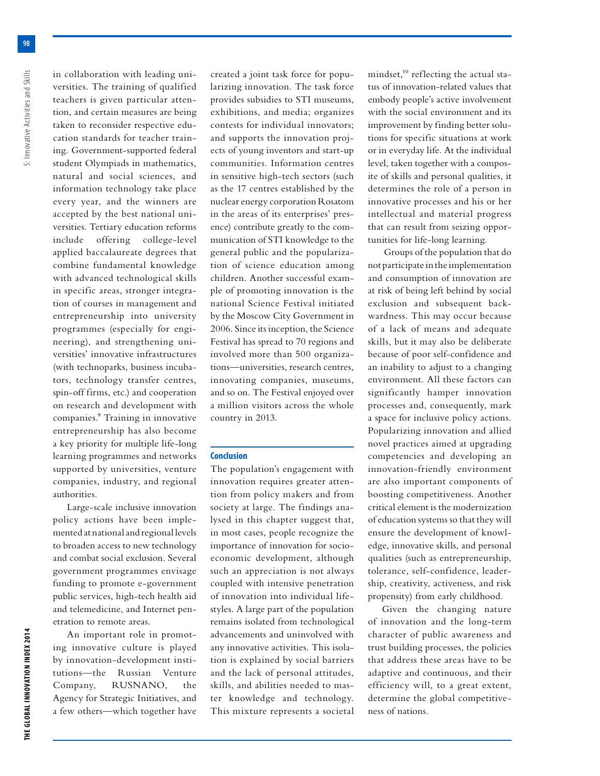in collaboration with leading universities. The training of qualified teachers is given particular attention, and certain measures are being taken to reconsider respective education standards for teacher training. Government-supported federal student Olympiads in mathematics, natural and social sciences, and information technology take place every year, and the winners are accepted by the best national universities. Tertiary education reforms include offering college-level applied baccalaureate degrees that combine fundamental knowledge with advanced technological skills in specific areas, stronger integration of courses in management and entrepreneurship into university programmes (especially for engineering), and strengthening universities' innovative infrastructures (with technoparks, business incubators, technology transfer centres, spin-off firms, etc.) and cooperation on research and development with companies.9 Training in innovative entrepreneurship has also become a key priority for multiple life-long learning programmes and networks supported by universities, venture companies, industry, and regional authorities.

Large-scale inclusive innovation policy actions have been implemented at national and regional levels to broaden access to new technology and combat social exclusion. Several government programmes envisage funding to promote e-government public services, high-tech health aid and telemedicine, and Internet penetration to remote areas.

An important role in promoting innovative culture is played by innovation-development institutions—the Russian Venture Company, RUSNANO, the Agency for Strategic Initiatives, and a few others—which together have created a joint task force for popularizing innovation. The task force provides subsidies to STI museums, exhibitions, and media; organizes contests for individual innovators; and supports the innovation projects of young inventors and start-up communities. Information centres in sensitive high-tech sectors (such as the 17 centres established by the nuclear energy corporation Rosatom in the areas of its enterprises' presence) contribute greatly to the communication of STI knowledge to the general public and the popularization of science education among children. Another successful example of promoting innovation is the national Science Festival initiated by the Moscow City Government in 2006. Since its inception, the Science Festival has spread to 70 regions and involved more than 500 organizations—universities, research centres, innovating companies, museums, and so on. The Festival enjoyed over a million visitors across the whole country in 2013.

### **Conclusion**

The population's engagement with innovation requires greater attention from policy makers and from society at large. The findings analysed in this chapter suggest that, in most cases, people recognize the importance of innovation for socioeconomic development, although such an appreciation is not always coupled with intensive penetration of innovation into individual lifestyles. A large part of the population remains isolated from technological advancements and uninvolved with any innovative activities. This isolation is explained by social barriers and the lack of personal attitudes, skills, and abilities needed to master knowledge and technology. This mixture represents a societal

mindset,<sup>10</sup> reflecting the actual status of innovation-related values that embody people's active involvement with the social environment and its improvement by finding better solutions for specific situations at work or in everyday life. At the individual level, taken together with a composite of skills and personal qualities, it determines the role of a person in innovative processes and his or her intellectual and material progress that can result from seizing opportunities for life-long learning.

 Groups of the population that do not participate in the implementation and consumption of innovation are at risk of being left behind by social exclusion and subsequent backwardness. This may occur because of a lack of means and adequate skills, but it may also be deliberate because of poor self-confidence and an inability to adjust to a changing environment. All these factors can significantly hamper innovation processes and, consequently, mark a space for inclusive policy actions. Popularizing innovation and allied novel practices aimed at upgrading competencies and developing an innovation-friendly environment are also important components of boosting competitiveness. Another critical element is the modernization of education systems so that they will ensure the development of knowledge, innovative skills, and personal qualities (such as entrepreneurship, tolerance, self-confidence, leadership, creativity, activeness, and risk propensity) from early childhood.

Given the changing nature of innovation and the long-term character of public awareness and trust building processes, the policies that address these areas have to be adaptive and continuous, and their efficiency will, to a great extent, determine the global competitiveness of nations.